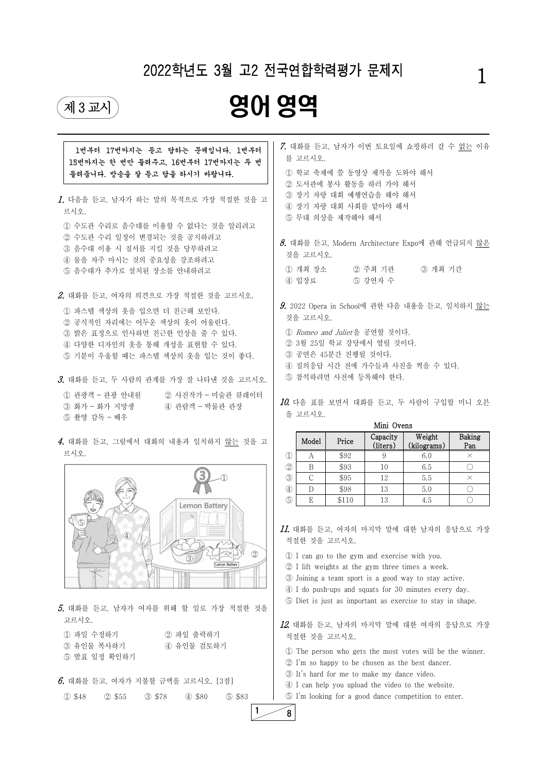

| 1번부터 17번까지는 듣고 답하는 문제입니다. 1번부터<br>15번까지는 한 번만 들려주고, 16번부터 17번까지는 두 번<br>들려줍니다. 방송을 잘 듣고 답을 하시기 바랍니다.                                                                                                                         | 7. 대화를 듣고, 남자가 이번 토요일에 쇼핑하러 갈 수 없는 이유<br>를 고르시오.<br>1 학교 축제에 쓸 동영상 제작을 도와야 해서                                                                                                                                                                                                                                                                                                                                                                                                                                                                                                                                                                                          |  |  |  |
|------------------------------------------------------------------------------------------------------------------------------------------------------------------------------------------------------------------------------|------------------------------------------------------------------------------------------------------------------------------------------------------------------------------------------------------------------------------------------------------------------------------------------------------------------------------------------------------------------------------------------------------------------------------------------------------------------------------------------------------------------------------------------------------------------------------------------------------------------------------------------------------------------------|--|--|--|
| 1. 다음을 듣고, 남자가 하는 말의 목적으로 가장 적절한 것을 고<br>르시오.<br>① 수도관 수리로 음수대를 이용할 수 없다는 것을 알리려고<br>② 수도관 수리 일정이 변경되는 것을 공지하려고<br>3 음수대 이용 시 질서를 지킬 것을 당부하려고<br>4 물을 자주 마시는 것의 중요성을 강조하려고<br>5 음수대가 추가로 설치된 장소를 안내하려고                       | 2 도서관에 봉사 활동을 하러 가야 해서<br>3 장기 자랑 대회 예행연습을 해야 해서<br>4) 장기 자랑 대회 사회를 맡아야 해서<br>5 무대 의상을 제작해야 해서<br>$\delta$ . 대화를 듣고, Modern Architecture Expo에 관해 언급되지 않은<br>것을 고르시오.<br>② 주최 기관<br>3 개최 기간<br>① 개최 장소<br>4) 입장료<br>5 강연자 수                                                                                                                                                                                                                                                                                                                                                                                                                                            |  |  |  |
| 2. 대화를 듣고, 여자의 의견으로 가장 적절한 것을 고르시오.<br>1 파스텔 색상의 옷을 입으면 더 친근해 보인다.<br>② 공식적인 자리에는 어두운 색상의 옷이 어울린다.<br>3 밝은 표정으로 인사하면 친근한 인상을 줄 수 있다.<br>4 다양한 디자인의 옷을 통해 개성을 표현할 수 있다.<br>5 기분이 우울할 때는 파스텔 색상의 옷을 입는 것이 좋다.                  | $9.2022$ Opera in School에 관한 다음 내용을 듣고, 일치하지 않는<br>것을 고르시오.<br>① Romeo and Juliet을 공연할 것이다.<br>② 3월 25일 학교 강당에서 열릴 것이다.<br>3 공연은 45분간 진행될 것이다.<br>4) 질의응답 시간 전에 가수들과 사진을 찍을 수 있다.                                                                                                                                                                                                                                                                                                                                                                                                                                                                                      |  |  |  |
| 3. 대화를 듣고, 두 사람의 관계를 가장 잘 나타낸 것을 고르시오.<br>1 관광객 - 관광 안내원<br>② 사진작가 - 미술관 큐레이터<br>4 관람객 - 박물관 관장<br>③ 화가 - 화가 지망생<br>5 촬영 감독 - 배우                                                                                             | 5 참석하려면 사전에 등록해야 한다.<br>10. 다음 표를 보면서 대화를 듣고, 두 사람이 구입할 미니 오븐<br>을 고르시오.<br>Mini Ovens                                                                                                                                                                                                                                                                                                                                                                                                                                                                                                                                                                                 |  |  |  |
| 4. 대화를 듣고, 그림에서 대화의 내용과 일치하지 않는 것을 고<br>르시오.<br><b>Lemon Battery</b><br>$\circled{5}$<br>$\circled{4}$<br>$\circled{2}$<br>Lemon Battery                                                                                     | Weight<br><b>Baking</b><br>Capacity<br>Model<br>Price<br>(kilograms)<br>Pan<br>(liters)<br>\$92<br>$\mathcal{D}$<br>9<br>$\times$<br>А<br>6.0<br>$\circled{2}$<br>B<br>\$93<br>10<br>6.5<br>$\bigcirc$<br>$\circled{3}$<br>$\mathcal{C}$<br>5.5<br>\$95<br>12<br>$\times$<br>$\circled{4}$<br>$\bigcirc$<br>D<br>\$98<br>13<br>5.0<br>$\circledS$<br>E<br>$\bigcirc$<br>\$110<br>13<br>4.5<br>11. 대화를 듣고, 여자의 마지막 말에 대한 남자의 응답으로 가장<br>적절한 것을 고르시오.<br>1 I can go to the gym and exercise with you.<br>2 I lift weights at the gym three times a week.<br>3 Joining a team sport is a good way to stay active.<br>4 I do push-ups and squats for 30 minutes every day. |  |  |  |
| 5. 대화를 듣고, 남자가 여자를 위해 할 일로 가장 적절한 것을<br>고르시오.<br>② 파일 출력하기<br>① 파일 수정하기<br>유인물 복사하기<br>4) 유인물 검토하기<br>$\circled{3}$<br>5 발표 일정 확인하기<br>$6.$ 대화를 듣고, 여자가 지불할 금액을 고르시오. [3점]<br>① \$48<br>2 \$55<br>3 \$78<br>4 \$80<br>5 \$83 | 5 Diet is just as important as exercise to stay in shape.<br>12. 대화를 듣고, 남자의 마지막 말에 대한 여자의 응답으로 가장<br>적절한 것을 고르시오.<br>1 The person who gets the most votes will be the winner.<br>2 I'm so happy to be chosen as the best dancer.<br>3) It's hard for me to make my dance video.<br>4 I can help you upload the video to the website.<br>5 I'm looking for a good dance competition to enter.                                                                                                                                                                                                                                                                          |  |  |  |

# 2022학년도 3월 고2 전국연합학력평가 문제지

# **제3교시 영어 영역**

1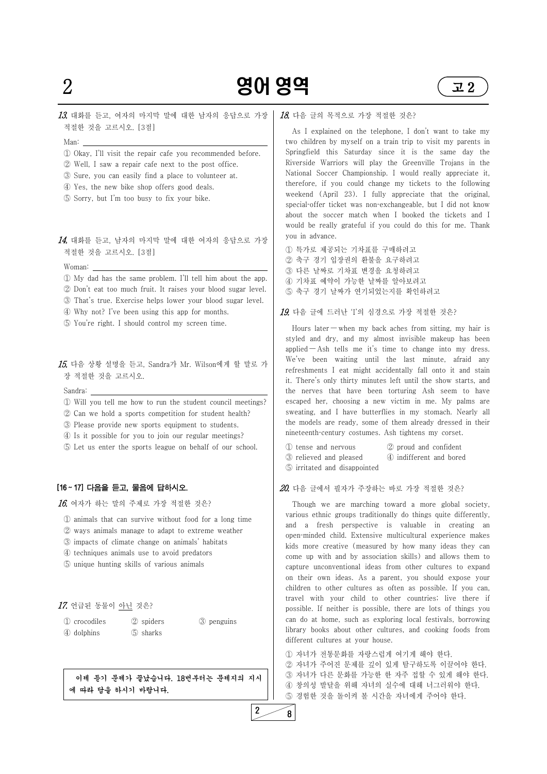

# $2$  **영어 영역**  $2$   $2$

13. 대화를 듣고, 여자의 마지막 말에 대한 남자의 응답으로 가장 적절한 것을 고르시오. [3점]

 $14.$  대화를 듣고, 남자의 마지막 말에 대한 여자의 응답으로 가장 적절한 것을 고르시오. [3점]

- Man: ① Okay, I'll visit the repair cafe you recommended before.
- ② Well, I saw a repair cafe next to the post office.
- ③ Sure, you can easily find a place to volunteer at.
- ④ Yes, the new bike shop offers good deals.
- ⑤ Sorry, but I'm too busy to fix your bike.

- Woman: ① My dad has the same problem. I'll tell him about the app.
- ② Don't eat too much fruit. It raises your blood sugar level.
- ③ That's true. Exercise helps lower your blood sugar level.
- ④ Why not? I've been using this app for months.
- ⑤ You're right. I should control my screen time.

15. 다음 상황 설명을 듣고, Sandra가 Mr. Wilson에게 할 말로 가 장 적절한 것을 고르시오.

- Sandra: ① Will you tell me how to run the student council meetings?
- ② Can we hold a sports competition for student health?
- ③ Please provide new sports equipment to students.
- ④ Is it possible for you to join our regular meetings?
- ⑤ Let us enter the sports league on behalf of our school.

### [16 ~ 17] 다음을 듣고, 물음에 답하시오.

 $16.$  여자가 하는 말의 주제로 가장 적절한 것은?

- ① animals that can survive without food for a long time
- ② ways animals manage to adapt to extreme weather
- ③ impacts of climate change on animals' habitats
- ④ techniques animals use to avoid predators
- ⑤ unique hunting skills of various animals

### 17. 언급된 동물이 아닌 것은?

① crocodiles ② spiders ③ penguins ④ dolphins ⑤ sharks

이제 듣기 문제가 끝났습니다. 18번부터는 문제지의 지시 에 따라 답을 하시기 바랍니다.

#### 18. 다음 글의 목적으로 가장 적절한 것은?

As I explained on the telephone, I don't want to take my two children by myself on a train trip to visit my parents in Springfield this Saturday since it is the same day the Riverside Warriors will play the Greenville Trojans in the National Soccer Championship. I would really appreciate it, therefore, if you could change my tickets to the following weekend (April 23). I fully appreciate that the original, special-offer ticket was non-exchangeable, but I did not know about the soccer match when I booked the tickets and I would be really grateful if you could do this for me. Thank you in advance.

- ① 특가로 제공되는 기차표를 구매하려고 ② 축구 경기 입장권의 환불을 요구하려고 ③ 다른 날짜로 기차표 변경을 요청하려고 ④ 기차표 예약이 가능한 날짜를 알아보려고
- ⑤ 축구 경기 날짜가 연기되었는지를 확인하려고

19. 다음 글에 드러난 'I'의 심경으로 가장 적절한 것은?

Hours later — when my back aches from sitting, my hair is styled and dry, and my almost invisible makeup has been applied  $-$  Ash tells me it's time to change into my dress. We've been waiting until the last minute, afraid any refreshments I eat might accidentally fall onto it and stain it. There's only thirty minutes left until the show starts, and the nerves that have been torturing Ash seem to have escaped her, choosing a new victim in me. My palms are sweating, and I have butterflies in my stomach. Nearly all the models are ready, some of them already dressed in their nineteenth-century costumes. Ash tightens my corset.

- ① tense and nervous ② proud and confident
- ③ relieved and pleased ④ indifferent and bored
- ⑤ irritated and disappointed

#### 20. 다음 글에서 필자가 주장하는 바로 가장 적절한 것은?

Though we are marching toward a more global society, various ethnic groups traditionally do things quite differently, and a fresh perspective is valuable in creating an open-minded child. Extensive multicultural experience makes kids more creative (measured by how many ideas they can come up with and by association skills) and allows them to capture unconventional ideas from other cultures to expand on their own ideas. As a parent, you should expose your

children to other cultures as often as possible. If you can, travel with your child to other countries; live there if possible. If neither is possible, there are lots of things you can do at home, such as exploring local festivals, borrowing library books about other cultures, and cooking foods from different cultures at your house.

① 자녀가 전통문화를 자랑스럽게 여기게 해야 한다. ② 자녀가 주어진 문제를 깊이 있게 탐구하도록 이끌어야 한다. ③ 자녀가 다른 문화를 가능한 한 자주 접할 수 있게 해야 한다. ④ 창의성 발달을 위해 자녀의 실수에 대해 너그러워야 한다. ⑤ 경험한 것을 돌이켜 볼 시간을 자녀에게 주어야 한다.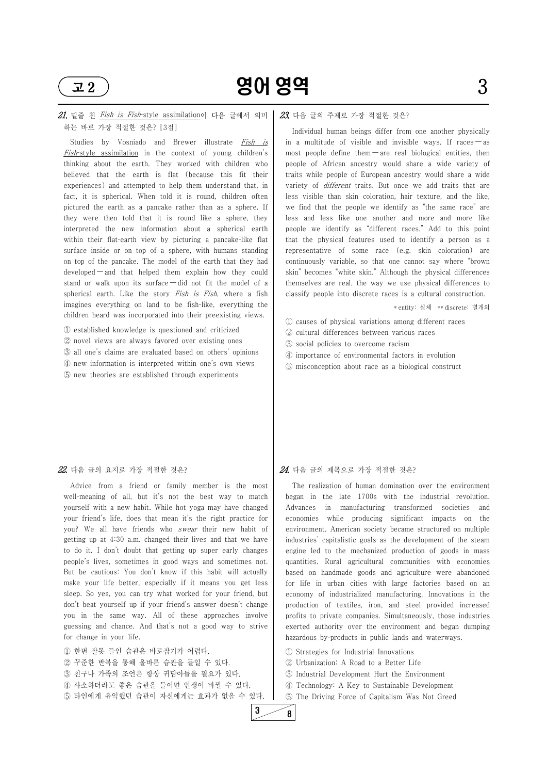

# 고 2) **영어 영역** 2008년 3

# 21. 밑줄 친 Fish is Fish-style assimilation이 다음 글에서 의미 하는 바로 가장 적절한 것은? [3점]

Studies by Vosniado and Brewer illustrate Fish is Fish-style assimilation in the context of young children's thinking about the earth. They worked with children who believed that the earth is flat (because this fit their experiences) and attempted to help them understand that, in fact, it is spherical. When told it is round, children often pictured the earth as a pancake rather than as a sphere. If they were then told that it is round like a sphere, they interpreted the new information about a spherical earth within their flat-earth view by picturing a pancake-like flat surface inside or on top of a sphere, with humans standing on top of the pancake. The model of the earth that they had developed — and that helped them explain how they could stand or walk upon its surface — did not fit the model of a spherical earth. Like the story Fish is Fish, where a fish imagines everything on land to be fish-like, everything the children heard was incorporated into their preexisting views.

- ① established knowledge is questioned and criticized
- ② novel views are always favored over existing ones
- ③ all one's claims are evaluated based on others' opinions
- ④ new information is interpreted within one's own views
- ⑤ new theories are established through experiments

#### 22. 다음 글의 요지로 가장 적절한 것은?

Advice from a friend or family member is the most well-meaning of all, but it's not the best way to match yourself with a new habit. While hot yoga may have changed your friend's life, does that mean it's the right practice for you? We all have friends who swear their new habit of getting up at 4:30 a.m. changed their lives and that we have to do it. I don't doubt that getting up super early changes people's lives, sometimes in good ways and sometimes not. But be cautious: You don't know if this habit will actually make your life better, especially if it means you get less sleep. So yes, you can try what worked for your friend, but don't beat yourself up if your friend's answer doesn't change you in the same way. All of these approaches involve guessing and chance. And that's not a good way to strive for change in your life.

The realization of human domination over the environment began in the late 1700s with the industrial revolution. Advances in manufacturing transformed societies and economies while producing significant impacts on the environment. American society became structured on multiple industries' capitalistic goals as the development of the steam engine led to the mechanized production of goods in mass quantities. Rural agricultural communities with economies based on handmade goods and agriculture were abandoned for life in urban cities with large factories based on an economy of industrialized manufacturing. Innovations in the production of textiles, iron, and steel provided increased profits to private companies. Simultaneously, those industries exerted authority over the environment and began dumping hazardous by-products in public lands and waterways.

① 한번 잘못 들인 습관은 바로잡기가 어렵다. ② 꾸준한 반복을 통해 올바른 습관을 들일 수 있다. ③ 친구나 가족의 조언은 항상 귀담아들을 필요가 있다. ④ 사소하더라도 좋은 습관을 들이면 인생이 바뀔 수 있다. ⑤ 타인에게 유익했던 습관이 자신에게는 효과가 없을 수 있다.

### 23. 다음 글의 주제로 가장 적절한 것은?

Individual human beings differ from one another physically in a multitude of visible and invisible ways. If races  $-\infty$ most people define them  $-$  are real biological entities, then people of African ancestry would share a wide variety of traits while people of European ancestry would share a wide variety of *different* traits. But once we add traits that are less visible than skin coloration, hair texture, and the like, we find that the people we identify as "the same race" are less and less like one another and more and more like people we identify as "different races." Add to this point that the physical features used to identify a person as a representative of some race (e.g. skin coloration) are continuously variable, so that one cannot say where "brown skin" becomes "white skin." Although the physical differences themselves are real, the way we use physical differences to classify people into discrete races is a cultural construction.

\* entity: 실체 \*\* discrete: 별개의

- ① causes of physical variations among different races
- ② cultural differences between various races
- ③ social policies to overcome racism
- ④ importance of environmental factors in evolution
- ⑤ misconception about race as a biological construct

## 24. 다음 글의 제목으로 가장 적절한 것은?

① Strategies for Industrial Innovations ② Urbanization: A Road to a Better Life ③ Industrial Development Hurt the Environment ④ Technology: A Key to Sustainable Development ⑤ The Driving Force of Capitalism Was Not Greed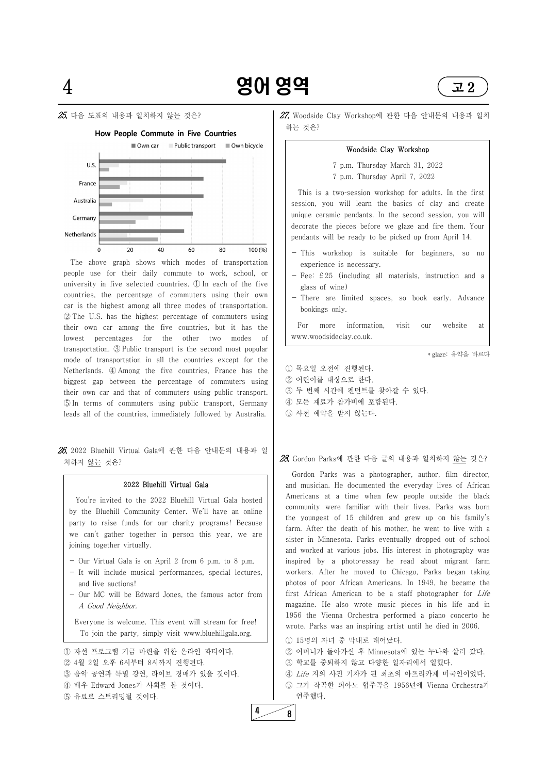### $25$  다음 도표의 내용과 일치하지 <u>않는</u> 것은?





26. 2022 Bluehill Virtual Gala에 관한 다음 안내문의 내용과 일 치하지 <u>않는</u> 것은?

The above graph shows which modes of transportation people use for their daily commute to work, school, or university in five selected countries. ① In each of the five countries, the percentage of commuters using their own car is the highest among all three modes of transportation. ② The U.S. has the highest percentage of commuters using their own car among the five countries, but it has the lowest percentages for the other two modes of transportation. ③ Public transport is the second most popular mode of transportation in all the countries except for the Netherlands. ④ Among the five countries, France has the biggest gap between the percentage of commuters using their own car and that of commuters using public transport. ⑤ In terms of commuters using public transport, Germany leads all of the countries, immediately followed by Australia.

#### 2022 Bluehill Virtual Gala

This is a two-session workshop for adults. In the first session, you will learn the basics of clay and create unique ceramic pendants. In the second session, you will decorate the pieces before we glaze and fire them. Your pendants will be ready to be picked up from April 14.

You're invited to the 2022 Bluehill Virtual Gala hosted by the Bluehill Community Center. We'll have an online party to raise funds for our charity programs! Because we can't gather together in person this year, we are joining together virtually.

- Our Virtual Gala is on April 2 from 6 p.m. to 8 p.m.
- It will include musical performances, special lectures, and live auctions!
- 
- Our MC will be Edward Jones, the famous actor from A Good Neighbor.

Everyone is welcome. This event will stream for free! To join the party, simply visit www.bluehillgala.org.

① 자선 프로그램 기금 마련을 위한 온라인 파티이다. ② 4월 2일 오후 6시부터 8시까지 진행된다. ③ 음악 공연과 특별 강연, 라이브 경매가 있을 것이다. ④ 배우 Edward Jones가 사회를 볼 것이다. ⑤ 유료로 스트리밍될 것이다.

27. Woodside Clay Workshop에 관한 다음 안내문의 내용과 일치 하는 것은?

#### Woodside Clay Workshop

7 p.m. Thursday March 31, 2022 7 p.m. Thursday April 7, 2022

- This workshop is suitable for beginners, so no experience is necessary.
- $-$  Fee: £25 (including all materials, instruction and a glass of wine)
- There are limited spaces, so book early. Advance bookings only.

For more information, visit our website at www.woodsideclay.co.uk.

\* glaze: 유약을 바르다

- ① 목요일 오전에 진행된다.
- ② 어린이를 대상으로 한다.
- ③ 두 번째 시간에 펜던트를 찾아갈 수 있다.
- ④ 모든 재료가 참가비에 포함된다.
- ⑤ 사전 예약을 받지 않는다.

 $28$ . Gordon Parks에 관한 다음 글의 내용과 일치하지 <u>않는</u> 것은?

Gordon Parks was a photographer, author, film director, and musician. He documented the everyday lives of African Americans at a time when few people outside the black community were familiar with their lives. Parks was born the youngest of 15 children and grew up on his family's farm. After the death of his mother, he went to live with a sister in Minnesota. Parks eventually dropped out of school and worked at various jobs. His interest in photography was inspired by a photo-essay he read about migrant farm workers. After he moved to Chicago, Parks began taking photos of poor African Americans. In 1949, he became the first African American to be a staff photographer for Life magazine. He also wrote music pieces in his life and in 1956 the Vienna Orchestra performed a piano concerto he wrote. Parks was an inspiring artist until he died in 2006.

 15명의 자녀 중 막내로 태어났다. 어머니가 돌아가신 후 Minnesota에 있는 누나와 살러 갔다. 학교를 중퇴하지 않고 다양한 일자리에서 일했다. Life 지의 사진 기자가 된 최초의 아프리카계 미국인이었다.

⑤ 그가 작곡한 피아노 협주곡을 1956년에 Vienna Orchestra가 연주했다.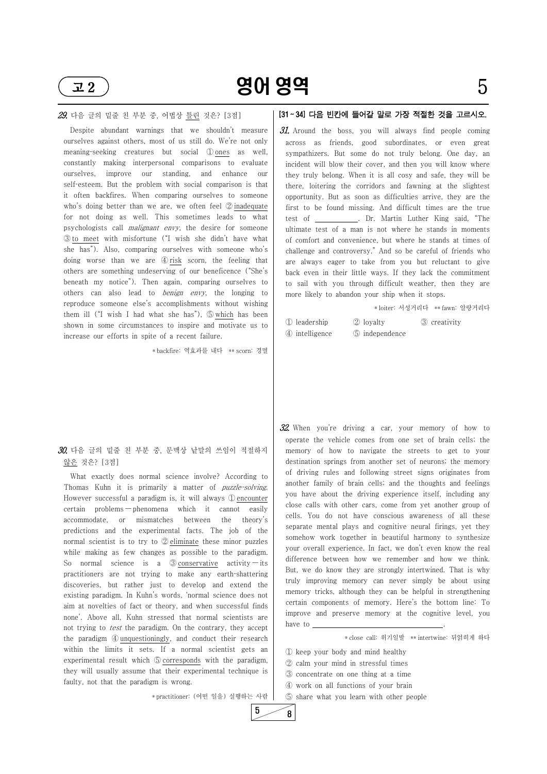

 $\overline{12}$  901 영역 5

#### 29. 다음 글의 밑줄 친 부분 중, 어법상 틀린 것은? [3점]

Despite abundant warnings that we shouldn't measure ourselves against others, most of us still do. We're not only meaning-seeking creatures but social ① ones as well, constantly making interpersonal comparisons to evaluate ourselves, improve our standing, and enhance our self-esteem. But the problem with social comparison is that it often backfires. When comparing ourselves to someone who's doing better than we are, we often feel ② inadequate for not doing as well. This sometimes leads to what psychologists call *malignant envy*, the desire for someone ③ to meet with misfortune ("I wish she didn't have what she has"). Also, comparing ourselves with someone who's doing worse than we are ④ risk scorn, the feeling that others are something undeserving of our beneficence ("She's beneath my notice"). Then again, comparing ourselves to others can also lead to *benign envy*, the longing to reproduce someone else's accomplishments without wishing them ill ("I wish I had what she has"), ⑤ which has been shown in some circumstances to inspire and motivate us to  $\begin{bmatrix} 0 & 1 \\ 0 & 1 \end{bmatrix}$ increase our efforts in spite of a recent failure.

## $30$ . 다음 글의 밑줄 친 부분 중, 문맥상 낱말의 쓰임이 적절하지 않은 것은? [3점]

\* backfire: 역효과를 내다 \*\* scorn: 경멸

31. Around the boss, you will always find people coming across as friends, good subordinates, or even great sympathizers. But some do not truly belong. One day, an incident will blow their cover, and then you will know where they truly belong. When it is all cosy and safe, they will be there, loitering the corridors and fawning at the slightest opportunity. But as soon as difficulties arrive, they are the first to be found missing. And difficult times are the true test of \_\_\_\_\_\_\_\_\_\_\_. Dr. Martin Luther King said, "The ultimate test of a man is not where he stands in moments of comfort and convenience, but where he stands at times of challenge and controversy." And so be careful of friends who are always eager to take from you but reluctant to give back even in their little ways. If they lack the commitment to sail with you through difficult weather, then they are more likely to abandon your ship when it stops.

What exactly does normal science involve? According to Thomas Kuhn it is primarily a matter of *puzzle-solving*.<br>However successful a paradigm is, it will always ① encounter certain problems — phenomena which it cannot easily accommodate, or mismatches between the theory's predictions and the experimental facts. The job of the normal scientist is to try to ② eliminate these minor puzzles while making as few changes as possible to the paradigm. So normal science is a  $\circled{3}$  conservative activity — its practitioners are not trying to make any earth-shattering discoveries, but rather just to develop and extend the existing paradigm. In Kuhn's words, 'normal science does not aim at novelties of fact or theory, and when successful finds none'. Above all, Kuhn stressed that normal scientists are not trying to *test* the paradigm. On the contrary, they accept the paradigm ④ unquestioningly, and conduct their research within the limits it sets. If a normal scientist gets an experimental result which ⑤ corresponds with the paradigm, they will usually assume that their experimental technique is faulty, not that the paradigm is wrong.

\* practitioner: (어떤 일을) 실행하는 사람

# [31 ~ 34] 다음 빈칸에 들어갈 말로 가장 적절한 것을 고르시오.

\* loiter: 서성거리다 \*\* fawn: 알랑거리다

| 1 leadership   | 2 loyalty      |
|----------------|----------------|
| 4 intelligence | 5 independence |

② loyalty ③ creativity

32. When you're driving a car, your memory of how to operate the vehicle comes from one set of brain cells; the memory of how to navigate the streets to get to your destination springs from another set of neurons; the memory of driving rules and following street signs originates from another family of brain cells; and the thoughts and feelings you have about the driving experience itself, including any close calls with other cars, come from yet another group of cells. You do not have conscious awareness of all these separate mental plays and cognitive neural firings, yet they somehow work together in beautiful harmony to synthesize your overall experience. In fact, we don't even know the real difference between how we remember and how we think. But, we do know they are strongly intertwined. That is why truly improving memory can never simply be about using memory tricks, although they can be helpful in strengthening certain components of memory. Here's the bottom line: To improve and preserve memory at the cognitive level, you have to  $\equiv$ 

\* close call: 위기일발 \*\* intertwine: 뒤얽히게 하다

① keep your body and mind healthy ② calm your mind in stressful times ③ concentrate on one thing at a time ④ work on all functions of your brain ⑤ share what you learn with other people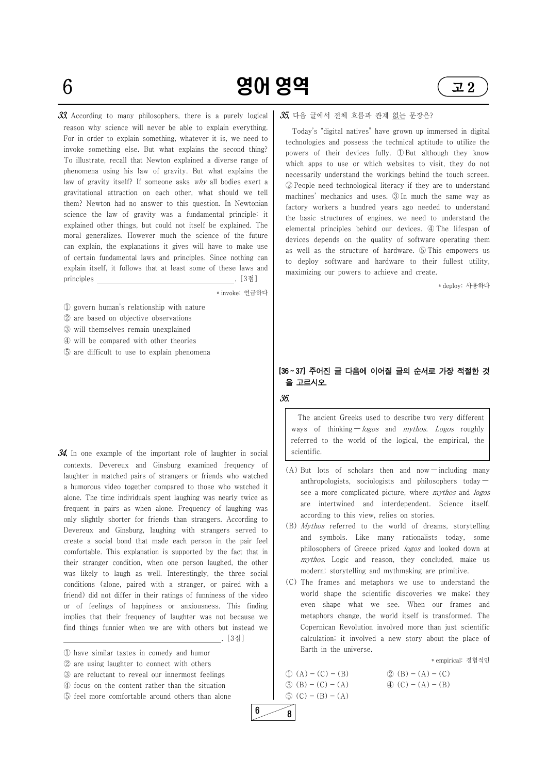

 $6$  **영어 영역**  $22$ 

 $33.$  According to many philosophers, there is a purely logical reason why science will never be able to explain everything. For in order to explain something, whatever it is, we need to invoke something else. But what explains the second thing? To illustrate, recall that Newton explained a diverse range of phenomena using his law of gravity. But what explains the law of gravity itself? If someone asks why all bodies exert a gravitational attraction on each other, what should we tell them? Newton had no answer to this question. In Newtonian science the law of gravity was a fundamental principle: it explained other things, but could not itself be explained. The moral generalizes. However much the science of the future can explain, the explanations it gives will have to make use of certain fundamental laws and principles. Since nothing can explain itself, it follows that at least some of these laws and principles . [3점]

\* invoke: 언급하다

- ① govern human's relationship with nature
- ② are based on objective observations
- ③ will themselves remain unexplained
- ④ will be compared with other theories
- ⑤ are difficult to use to explain phenomena

 $34.$  In one example of the important role of laughter in social contexts, Devereux and Ginsburg examined frequency of laughter in matched pairs of strangers or friends who watched a humorous video together compared to those who watched it alone. The time individuals spent laughing was nearly twice as frequent in pairs as when alone. Frequency of laughing was only slightly shorter for friends than strangers. According to Devereux and Ginsburg, laughing with strangers served to create a social bond that made each person in the pair feel comfortable. This explanation is supported by the fact that in their stranger condition, when one person laughed, the other was likely to laugh as well. Interestingly, the three social conditions (alone, paired with a stranger, or paired with a friend) did not differ in their ratings of funniness of the video or of feelings of happiness or anxiousness. This finding implies that their frequency of laughter was not because we find things funnier when we are with others but instead we . [3점]

- $(A)$  But lots of scholars then and now including many anthropologists, sociologists and philosophers today see a more complicated picture, where *mythos* and *logos* are intertwined and interdependent. Science itself, according to this view, relies on stories.
- (B) Mythos referred to the world of dreams, storytelling and symbols. Like many rationalists today, some philosophers of Greece prized *logos* and looked down at mythos. Logic and reason, they concluded, make us modern; storytelling and mythmaking are primitive.
- (C) The frames and metaphors we use to understand the

① have similar tastes in comedy and humor ② are using laughter to connect with others ③ are reluctant to reveal our innermost feelings ④ focus on the content rather than the situation ⑤ feel more comfortable around others than alone

### 35. 다음 글에서 전체 흐름과 관계 없는 문장은?

Today's "digital natives" have grown up immersed in digital technologies and possess the technical aptitude to utilize the powers of their devices fully. ① But although they know which apps to use or which websites to visit, they do not necessarily understand the workings behind the touch screen. ② People need technological literacy if they are to understand machines' mechanics and uses. ③ In much the same way as factory workers a hundred years ago needed to understand the basic structures of engines, we need to understand the elemental principles behind our devices. ④ The lifespan of devices depends on the quality of software operating them as well as the structure of hardware. ⑤ This empowers us to deploy software and hardware to their fullest utility, maximizing our powers to achieve and create.

\* deploy: 사용하다

# [36 ~ 37] 주어진 글 다음에 이어질 글의 순서로 가장 적절한 것 을 고르시오.

36.

The ancient Greeks used to describe two very different ways of thinking  $-\log os$  and *mythos. Logos* roughly referred to the world of the logical, the empirical, the scientific.

world shape the scientific discoveries we make; they even shape what we see. When our frames and metaphors change, the world itself is transformed. The Copernican Revolution involved more than just scientific calculation; it involved a new story about the place of Earth in the universe.

\* empirical: 경험적인

| $(1) (A) - (C) - (B)$             | $(2)(B) - (A) - (C)$              |
|-----------------------------------|-----------------------------------|
| $(3)(B) - (C) - (A)$              | $\textcircled{4}$ (C) – (A) – (B) |
| $\textcircled{5}$ (C) – (B) – (A) |                                   |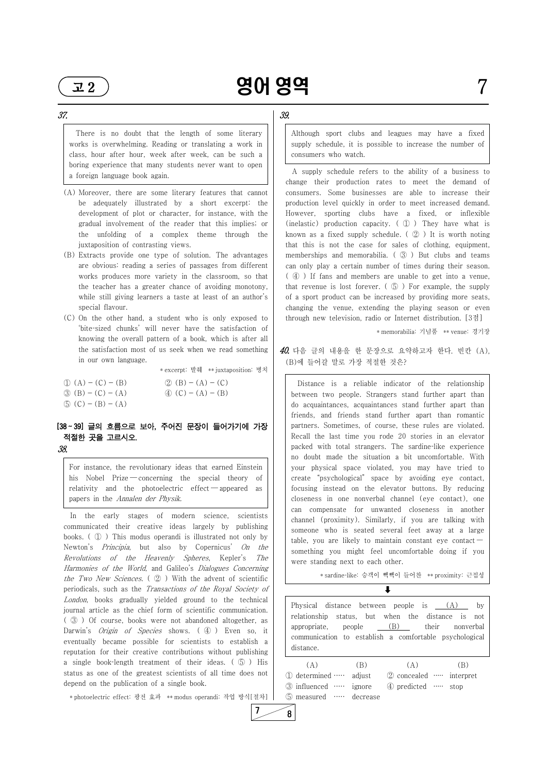# $\overline{12}$  90 영역

#### 37.

There is no doubt that the length of some literary works is overwhelming. Reading or translating a work in class, hour after hour, week after week, can be such a boring experience that many students never want to open a foreign language book again.

- (A) Moreover, there are some literary features that cannot be adequately illustrated by a short excerpt: the development of plot or character, for instance, with the gradual involvement of the reader that this implies; or the unfolding of a complex theme through the juxtaposition of contrasting views.
- (B) Extracts provide one type of solution. The advantages are obvious: reading a series of passages from different works produces more variety in the classroom, so that the teacher has a greater chance of avoiding monotony, while still giving learners a taste at least of an author's special flavour.
- (C) On the other hand, a student who is only exposed to 'bite-sized chunks' will never have the satisfaction of knowing the overall pattern of a book, which is after all the satisfaction most of us seek when we read something in our own language.

In the early stages of modern science, scientists communicated their creative ideas largely by publishing books. ( ① ) This modus operandi is illustrated not only by Newton's *Principia*, but also by Copernicus' On the Revolutions of the Heavenly Spheres, Kepler's The Harmonies of the World, and Galileo's Dialogues Concerning the Two New Sciences.  $\left( \varphi \right)$  With the advent of scientific

\* excerpt: 발췌 \*\* juxtaposition: 병치

- $\textcircled{1}$  (A) (C) (B)  $\textcircled{2}$  (B) (A) (C)  $\textcircled{3}$  (B) - (C) - (A)  $\textcircled{4}$  (C) - (A) - (B)
- $\circled{5}$  (C) (B) (A)

# [38 ~ 39] 글의 흐름으로 보아, 주어진 문장이 들어가기에 가장 적절한 곳을 고르시오.

38.

For instance, the revolutionary ideas that earned Einstein his Nobel Prize — concerning the special theory of relativity and the photoelectric effect ― appeared as papers in the Annalen der Physik.

 $40$ . 다음 글의 내용을 한 문장으로 요약하고자 한다. 빈칸 (A), (B)에 들어갈 말로 가장 적절한 것은?

periodicals, such as the Transactions of the Royal Society of London, books gradually yielded ground to the technical journal article as the chief form of scientific communication. ( ③ ) Of course, books were not abandoned altogether, as Darwin's *Origin of Species* shows. (4) Even so, it eventually became possible for scientists to establish a reputation for their creative contributions without publishing a single book-length treatment of their ideas.  $( \circled{5} )$  His status as one of the greatest scientists of all time does not | 1 b determined .... depend on the publication of a single book.

Physical distance between people is (A) by relationship status, but when the distance is not appropriate, people (B) their nonverbal communication to establish a comfortable psychological distance.

 $(A)$  (B)  $(A)$  (B) adjust ② concealed ····· interpret ③ influenced ····· ignore ④ predicted ····· stop ⑤ measured ····· decrease

 $7 \ 8$ 

\* photoelectric effect: 광전 효과 \*\* modus operandi: 작업 방식[절차]

## 39.

Although sport clubs and leagues may have a fixed supply schedule, it is possible to increase the number of consumers who watch.

A supply schedule refers to the ability of a business to change their production rates to meet the demand of consumers. Some businesses are able to increase their production level quickly in order to meet increased demand. However, sporting clubs have a fixed, or inflexible (inelastic) production capacity. ( ① ) They have what is known as a fixed supply schedule. ( ② ) It is worth noting that this is not the case for sales of clothing, equipment, memberships and memorabilia. ( $\circled{3}$ ) But clubs and teams can only play a certain number of times during their season. ( ④ ) If fans and members are unable to get into a venue, that revenue is lost forever.  $(\circled{5})$  For example, the supply of a sport product can be increased by providing more seats, changing the venue, extending the playing season or even through new television, radio or Internet distribution. [3점]

\* memorabilia: 기념품 \*\* venue: 경기장

Distance is a reliable indicator of the relationship between two people. Strangers stand further apart than do acquaintances, acquaintances stand further apart than friends, and friends stand further apart than romantic partners. Sometimes, of course, these rules are violated. Recall the last time you rode 20 stories in an elevator packed with total strangers. The sardine-like experience no doubt made the situation a bit uncomfortable. With your physical space violated, you may have tried to create "psychological" space by avoiding eye contact, focusing instead on the elevator buttons. By reducing closeness in one nonverbal channel (eye contact), one can compensate for unwanted closeness in another channel (proximity). Similarly, if you are talking with someone who is seated several feet away at a large table, you are likely to maintain constant eye contact something you might feel uncomfortable doing if you were standing next to each other.

\* sardinelike: 승객이 빽빽이 들어찬 \*\* proximity: 근접성

 $\downarrow$